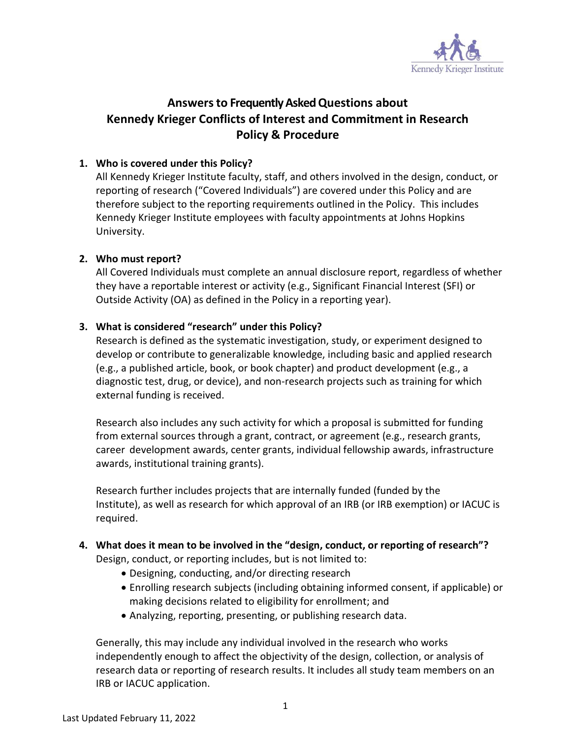

## **Answersto Frequently Asked Questions about Kennedy Krieger Conflicts of Interest and Commitment in Research Policy & Procedure**

#### **1. Who is covered under this Policy?**

All Kennedy Krieger Institute faculty, staff, and others involved in the design, conduct, or reporting of research ("Covered Individuals") are covered under this Policy and are therefore subject to the reporting requirements outlined in the Policy. This includes Kennedy Krieger Institute employees with faculty appointments at Johns Hopkins University.

#### **2. Who must report?**

All Covered Individuals must complete an annual disclosure report, regardless of whether they have a reportable interest or activity (e.g., Significant Financial Interest (SFI) or Outside Activity (OA) as defined in the Policy in a reporting year).

#### **3. What is considered "research" under this Policy?**

Research is defined as the systematic investigation, study, or experiment designed to develop or contribute to generalizable knowledge, including basic and applied research (e.g., a published article, book, or book chapter) and product development (e.g., a diagnostic test, drug, or device), and non-research projects such as training for which external funding is received.

Research also includes any such activity for which a proposal is submitted for funding from external sources through a grant, contract, or agreement (e.g., research grants, career development awards, center grants, individual fellowship awards, infrastructure awards, institutional training grants).

Research further includes projects that are internally funded (funded by the Institute), as well as research for which approval of an IRB (or IRB exemption) or IACUC is required.

# **4. What does it mean to be involved in the "design, conduct, or reporting of research"?**

Design, conduct, or reporting includes, but is not limited to:

- Designing, conducting, and/or directing research
- Enrolling research subjects (including obtaining informed consent, if applicable) or making decisions related to eligibility for enrollment; and
- Analyzing, reporting, presenting, or publishing research data.

Generally, this may include any individual involved in the research who works independently enough to affect the objectivity of the design, collection, or analysis of research data or reporting of research results. It includes all study team members on an IRB or IACUC application.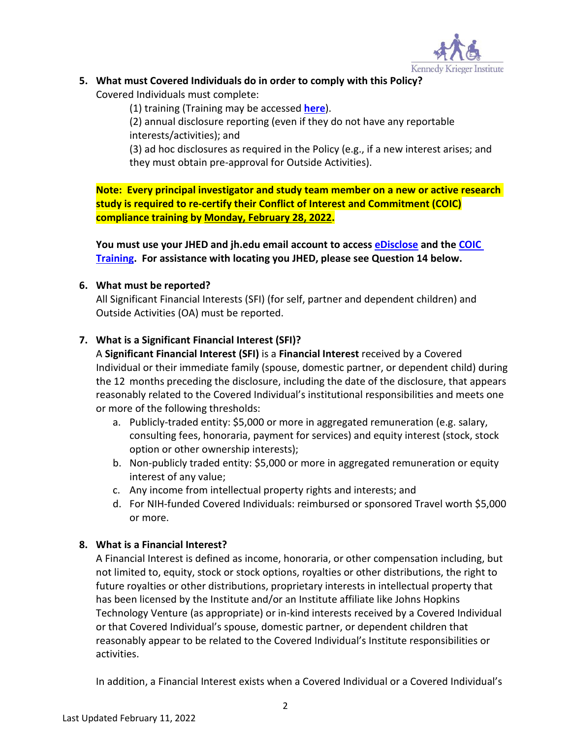

## **5. What must Covered Individuals do in order to comply with this Policy?**

Covered Individuals must complete:

(1) training (Training may be accessed **[here](http://lms14.learnshare.com/l.aspx?CID=89&A=2&T=412863)**).

(2) annual disclosure reporting (even if they do not have any reportable interests/activities); and

(3) ad hoc disclosures as required in the Policy (e.g., if a new interest arises; and they must obtain pre-approval for Outside Activities).

**Note: Every principal investigator and study team member on a new or active research study is required to re-certify their Conflict of Interest and Commitment (COIC) compliance training by Monday, February 28, 2022.** 

**You must use your JHED and jh.edu email account to access [eDisclose](http://edisclose.jhu.edu/) and the [COIC](http://lms14.learnshare.com/l.aspx?CID=89&A=2&T=412863)  [Training.](http://lms14.learnshare.com/l.aspx?CID=89&A=2&T=412863) For assistance with locating you JHED, please see Question 14 below.**

#### **6. What must be reported?**

All Significant Financial Interests (SFI) (for self, partner and dependent children) and Outside Activities (OA) must be reported.

## **7. What is a Significant Financial Interest (SFI)?**

A **Significant Financial Interest (SFI)** is a **Financial Interest** received by a Covered Individual or their immediate family (spouse, domestic partner, or dependent child) during the 12 months preceding the disclosure, including the date of the disclosure, that appears reasonably related to the Covered Individual's institutional responsibilities and meets one or more of the following thresholds:

- a. Publicly-traded entity: \$5,000 or more in aggregated remuneration (e.g. salary, consulting fees, honoraria, payment for services) and equity interest (stock, stock option or other ownership interests);
- b. Non-publicly traded entity: \$5,000 or more in aggregated remuneration or equity interest of any value;
- c. Any income from intellectual property rights and interests; and
- d. For NIH-funded Covered Individuals: reimbursed or sponsored Travel worth \$5,000 or more.

## **8. What is a Financial Interest?**

A Financial Interest is defined as income, honoraria, or other compensation including, but not limited to, equity, stock or stock options, royalties or other distributions, the right to future royalties or other distributions, proprietary interests in intellectual property that has been licensed by the Institute and/or an Institute affiliate like Johns Hopkins Technology Venture (as appropriate) or in-kind interests received by a Covered Individual or that Covered Individual's spouse, domestic partner, or dependent children that reasonably appear to be related to the Covered Individual's Institute responsibilities or activities.

In addition, a Financial Interest exists when a Covered Individual or a Covered Individual's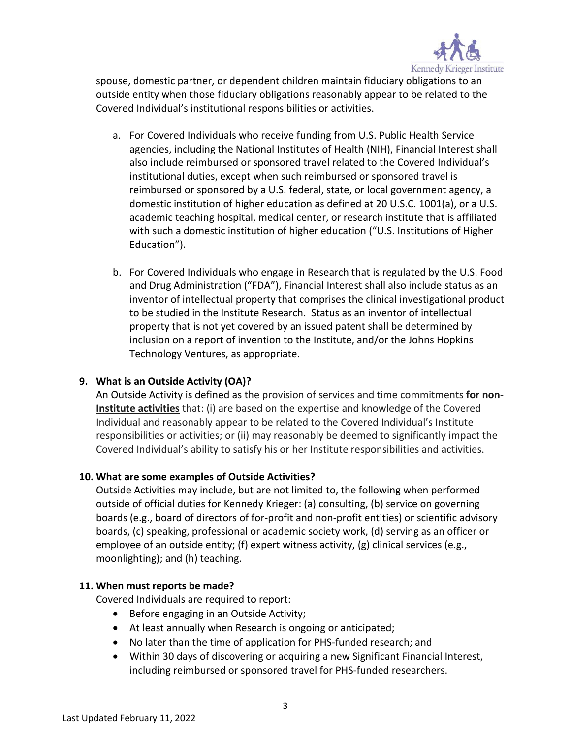

spouse, domestic partner, or dependent children maintain fiduciary obligations to an outside entity when those fiduciary obligations reasonably appear to be related to the Covered Individual's institutional responsibilities or activities.

- a. For Covered Individuals who receive funding from U.S. Public Health Service agencies, including the National Institutes of Health (NIH), Financial Interest shall also include reimbursed or sponsored travel related to the Covered Individual's institutional duties, except when such reimbursed or sponsored travel is reimbursed or sponsored by a U.S. federal, state, or local government agency, a domestic institution of higher education as defined at 20 U.S.C. 1001(a), or a U.S. academic teaching hospital, medical center, or research institute that is affiliated with such a domestic institution of higher education ("U.S. Institutions of Higher Education").
- b. For Covered Individuals who engage in Research that is regulated by the U.S. Food and Drug Administration ("FDA"), Financial Interest shall also include status as an inventor of intellectual property that comprises the clinical investigational product to be studied in the Institute Research. Status as an inventor of intellectual property that is not yet covered by an issued patent shall be determined by inclusion on a report of invention to the Institute, and/or the Johns Hopkins Technology Ventures, as appropriate.

## **9. What is an Outside Activity (OA)?**

An Outside Activity is defined as the provision of services and time commitments **for non-Institute activities** that: (i) are based on the expertise and knowledge of the Covered Individual and reasonably appear to be related to the Covered Individual's Institute responsibilities or activities; or (ii) may reasonably be deemed to significantly impact the Covered Individual's ability to satisfy his or her Institute responsibilities and activities.

#### **10. What are some examples of Outside Activities?**

Outside Activities may include, but are not limited to, the following when performed outside of official duties for Kennedy Krieger: (a) consulting, (b) service on governing boards (e.g., board of directors of for-profit and non-profit entities) or scientific advisory boards, (c) speaking, professional or academic society work, (d) serving as an officer or employee of an outside entity; (f) expert witness activity, (g) clinical services (e.g., moonlighting); and (h) teaching.

#### **11. When must reports be made?**

Covered Individuals are required to report:

- Before engaging in an Outside Activity;
- At least annually when Research is ongoing or anticipated;
- No later than the time of application for PHS-funded research; and
- Within 30 days of discovering or acquiring a new Significant Financial Interest, including reimbursed or sponsored travel for PHS-funded researchers.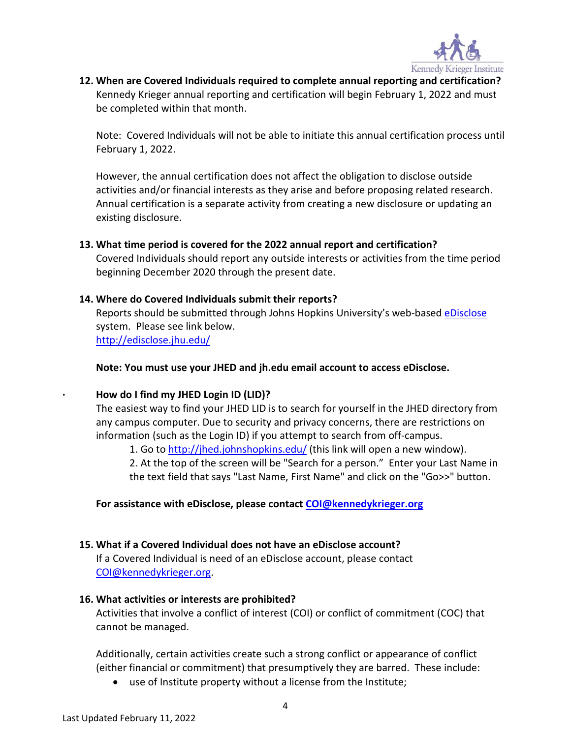

**12. When are Covered Individuals required to complete annual reporting and certification?** Kennedy Krieger annual reporting and certification will begin February 1, 2022 and must be completed within that month.

Note: Covered Individuals will not be able to initiate this annual certification process until February 1, 2022.

However, the annual certification does not affect the obligation to disclose outside activities and/or financial interests as they arise and before proposing related research. Annual certification is a separate activity from creating a new disclosure or updating an existing disclosure.

#### **13. What time period is covered for the 2022 annual report and certification?**

Covered Individuals should report any outside interests or activities from the time period beginning December 2020 through the present date.

#### **14. Where do Covered Individuals submit their reports?**

Reports should be submitted through Johns Hopkins University's web-based [eDisclose](http://edisclose.jhu.edu/) system. Please see link below. <http://edisclose.jhu.edu/>

#### **Note: You must use your JHED and jh.edu email account to access eDisclose.**

#### **· How do I find my JHED Login ID (LID)?**

The easiest way to find your JHED LID is to search for yourself in the JHED directory from any campus computer. Due to security and privacy concerns, there are restrictions on information (such as the Login ID) if you attempt to search from off-campus.

1. Go to <http://jhed.johnshopkins.edu/> (this link will open a new window).

2. At the top of the screen will be "Search for a person." Enter your Last Name in the text field that says "Last Name, First Name" and click on the "Go>>" button.

**For assistance with eDisclose, please contact [COI@kennedykrieger.org](mailto:COI@kennedykrieger.org)**

#### **15. What if a Covered Individual does not have an eDisclose account?**

If a Covered Individual is need of an eDisclose account, please contact [COI@kennedykrieger.org.](mailto:COI@kennedykrieger.org)

#### **16. What activities or interests are prohibited?**

Activities that involve a conflict of interest (COI) or conflict of commitment (COC) that cannot be managed.

Additionally, certain activities create such a strong conflict or appearance of conflict (either financial or commitment) that presumptively they are barred. These include:

• use of Institute property without a license from the Institute;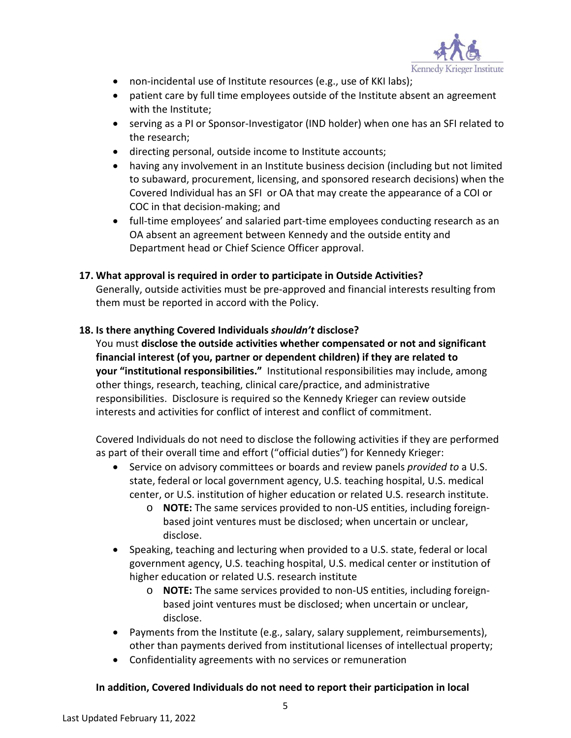

- non-incidental use of Institute resources (e.g., use of KKI labs);
- patient care by full time employees outside of the Institute absent an agreement with the Institute;
- serving as a PI or Sponsor-Investigator (IND holder) when one has an SFI related to the research;
- directing personal, outside income to Institute accounts;
- having any involvement in an Institute business decision (including but not limited to subaward, procurement, licensing, and sponsored research decisions) when the Covered Individual has an SFI or OA that may create the appearance of a COI or COC in that decision-making; and
- full-time employees' and salaried part-time employees conducting research as an OA absent an agreement between Kennedy and the outside entity and Department head or Chief Science Officer approval.

#### **17. What approval is required in order to participate in Outside Activities?**

Generally, outside activities must be pre-approved and financial interests resulting from them must be reported in accord with the Policy.

#### **18. Is there anything Covered Individuals** *shouldn't* **disclose?**

You must **disclose the outside activities whether compensated or not and significant financial interest (of you, partner or dependent children) if they are related to your "institutional responsibilities."** Institutional responsibilities may include, among other things, research, teaching, clinical care/practice, and administrative responsibilities. Disclosure is required so the Kennedy Krieger can review outside interests and activities for conflict of interest and conflict of commitment.

Covered Individuals do not need to disclose the following activities if they are performed as part of their overall time and effort ("official duties") for Kennedy Krieger:

- Service on advisory committees or boards and review panels *provided to* a U.S. state, federal or local government agency, U.S. teaching hospital, U.S. medical center, or U.S. institution of higher education or related U.S. research institute.
	- o **NOTE:** The same services provided to non-US entities, including foreignbased joint ventures must be disclosed; when uncertain or unclear, disclose.
- Speaking, teaching and lecturing when provided to a U.S. state, federal or local government agency, U.S. teaching hospital, U.S. medical center or institution of higher education or related U.S. research institute
	- o **NOTE:** The same services provided to non-US entities, including foreignbased joint ventures must be disclosed; when uncertain or unclear, disclose.
- Payments from the Institute (e.g., salary, salary supplement, reimbursements), other than payments derived from institutional licenses of intellectual property;
- Confidentiality agreements with no services or remuneration

#### **In addition, Covered Individuals do not need to report their participation in local**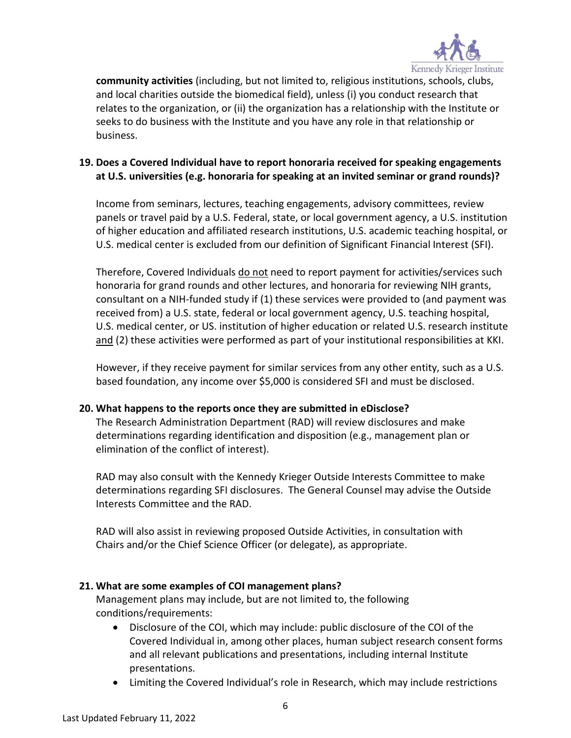

**community activities** (including, but not limited to, religious institutions, schools, clubs, and local charities outside the biomedical field), unless (i) you conduct research that relates to the organization, or (ii) the organization has a relationship with the Institute or seeks to do business with the Institute and you have any role in that relationship or business.

## **19. Does a Covered Individual have to report honoraria received for speaking engagements at U.S. universities (e.g. honoraria for speaking at an invited seminar or grand rounds)?**

Income from seminars, lectures, teaching engagements, advisory committees, review panels or travel paid by a U.S. Federal, state, or local government agency, a U.S. institution of higher education and affiliated research institutions, U.S. academic teaching hospital, or U.S. medical center is excluded from our definition of Significant Financial Interest (SFI).

Therefore, Covered Individuals do not need to report payment for activities/services such honoraria for grand rounds and other lectures, and honoraria for reviewing NIH grants, consultant on a NIH-funded study if (1) these services were provided to (and payment was received from) a U.S. state, federal or local government agency, U.S. teaching hospital, U.S. medical center, or US. institution of higher education or related U.S. research institute and (2) these activities were performed as part of your institutional responsibilities at KKI.

However, if they receive payment for similar services from any other entity, such as a U.S. based foundation, any income over \$5,000 is considered SFI and must be disclosed.

#### **20. What happens to the reports once they are submitted in eDisclose?**

The Research Administration Department (RAD) will review disclosures and make determinations regarding identification and disposition (e.g., management plan or elimination of the conflict of interest).

RAD may also consult with the Kennedy Krieger Outside Interests Committee to make determinations regarding SFI disclosures. The General Counsel may advise the Outside Interests Committee and the RAD.

RAD will also assist in reviewing proposed Outside Activities, in consultation with Chairs and/or the Chief Science Officer (or delegate), as appropriate.

#### **21. What are some examples of COI management plans?**

Management plans may include, but are not limited to, the following conditions/requirements:

- Disclosure of the COI, which may include: public disclosure of the COI of the Covered Individual in, among other places, human subject research consent forms and all relevant publications and presentations, including internal Institute presentations.
- Limiting the Covered Individual's role in Research, which may include restrictions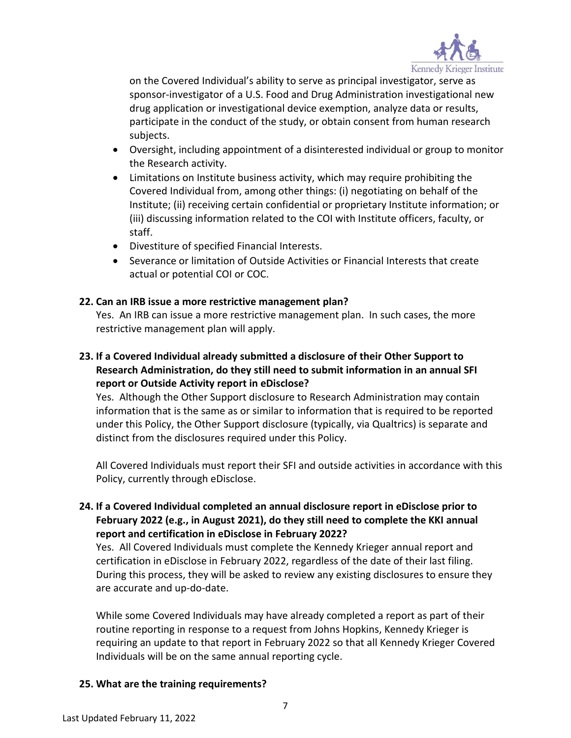

on the Covered Individual's ability to serve as principal investigator, serve as sponsor-investigator of a U.S. Food and Drug Administration investigational new drug application or investigational device exemption, analyze data or results, participate in the conduct of the study, or obtain consent from human research subjects.

- Oversight, including appointment of a disinterested individual or group to monitor the Research activity.
- Limitations on Institute business activity, which may require prohibiting the Covered Individual from, among other things: (i) negotiating on behalf of the Institute; (ii) receiving certain confidential or proprietary Institute information; or (iii) discussing information related to the COI with Institute officers, faculty, or staff.
- Divestiture of specified Financial Interests.
- Severance or limitation of Outside Activities or Financial Interests that create actual or potential COI or COC.

## **22. Can an IRB issue a more restrictive management plan?**

Yes. An IRB can issue a more restrictive management plan. In such cases, the more restrictive management plan will apply.

## **23. If a Covered Individual already submitted a disclosure of their Other Support to Research Administration, do they still need to submit information in an annual SFI report or Outside Activity report in eDisclose?**

Yes. Although the Other Support disclosure to Research Administration may contain information that is the same as or similar to information that is required to be reported under this Policy, the Other Support disclosure (typically, via Qualtrics) is separate and distinct from the disclosures required under this Policy.

All Covered Individuals must report their SFI and outside activities in accordance with this Policy, currently through eDisclose.

## **24. If a Covered Individual completed an annual disclosure report in eDisclose prior to February 2022 (e.g., in August 2021), do they still need to complete the KKI annual report and certification in eDisclose in February 2022?**

Yes. All Covered Individuals must complete the Kennedy Krieger annual report and certification in eDisclose in February 2022, regardless of the date of their last filing. During this process, they will be asked to review any existing disclosures to ensure they are accurate and up-do-date.

While some Covered Individuals may have already completed a report as part of their routine reporting in response to a request from Johns Hopkins, Kennedy Krieger is requiring an update to that report in February 2022 so that all Kennedy Krieger Covered Individuals will be on the same annual reporting cycle.

## **25. What are the training requirements?**